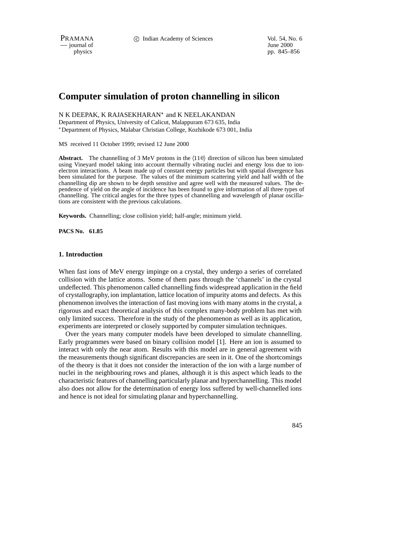PRAMANA 
<sup>c</sup> Indian Academy of Sciences 
<sup>Vol. 54, No. 6<br>
— journal of *June 2000*</sup>

 $\overline{\phantom{a}}$  journal of

physics pp. 845–856

# **Computer simulation of proton channelling in silicon**

#### N K DEEPAK, K RAJASEKHARAN\* and K NEELAKANDAN

Department of Physics, University of Calicut, Malappuram 673 635, India Department of Physics, Malabar Christian College, Kozhikode 673 001, India

MS received 11 October 1999; revised 12 June 2000

**Abstract.** The channelling of 3 MeV protons in the  $\langle 110 \rangle$  direction of silicon has been simulated using Vineyard model taking into account thermally vibrating nuclei and energy loss due to ionelectron interactions. A beam made up of constant energy particles but with spatial divergence has been simulated for the purpose. The values of the minimum scattering yield and half width of the channelling dip are shown to be depth sensitive and agree well with the measured values. The dependence of yield on the angle of incidence has been found to give information of all three types of channelling. The critical angles for the three types of channelling and wavelength of planar oscillations are consistent with the previous calculations.

**Keywords.** Channelling; close collision yield; half-angle; minimum yield.

**PACS No. 61.85**

#### **1. Introduction**

When fast ions of MeV energy impinge on a crystal, they undergo a series of correlated collision with the lattice atoms. Some of them pass through the 'channels' in the crystal undeflected. This phenomenon called channelling finds widespread application in the field of crystallography, ion implantation, lattice location of impurity atoms and defects. As this phenomenon involves the interaction of fast moving ions with many atoms in the crystal, a rigorous and exact theoretical analysis of this complex many-body problem has met with only limited success. Therefore in the study of the phenomenon as well as its application, experiments are interpreted or closely supported by computer simulation techniques.

Over the years many computer models have been developed to simulate channelling. Early programmes were based on binary collision model [1]. Here an ion is assumed to interact with only the near atom. Results with this model are in general agreement with the measurements though significant discrepancies are seen in it. One of the shortcomings of the theory is that it does not consider the interaction of the ion with a large number of nuclei in the neighbouring rows and planes, although it is this aspect which leads to the characteristic features of channelling particularly planar and hyperchannelling. This model also does not allow for the determination of energy loss suffered by well-channelled ions and hence is not ideal for simulating planar and hyperchannelling.

845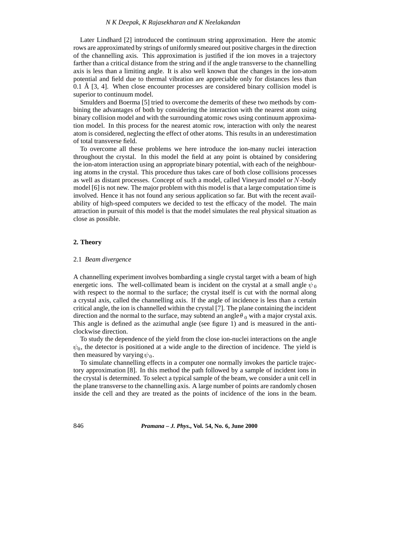#### *N K Deepak, K Rajasekharan and K Neelakandan*

Later Lindhard [2] introduced the continuum string approximation. Here the atomic rows are approximated by strings of uniformly smeared out positive charges in the direction of the channelling axis. This approximation is justified if the ion moves in a trajectory farther than a critical distance from the string and if the angle transverse to the channelling axis is less than a limiting angle. It is also well known that the changes in the ion-atom potential and field due to thermal vibration are appreciable only for distances less than 0.1 Å  $[3, 4]$ . When close encounter processes are considered binary collision model is superior to continuum model.

Smulders and Boerma [5] tried to overcome the demerits of these two methods by combining the advantages of both by considering the interaction with the nearest atom using binary collision model and with the surrounding atomic rows using continuum approximation model. In this process for the nearest atomic row, interaction with only the nearest atom is considered, neglecting the effect of other atoms. This results in an underestimation of total transverse field.

To overcome all these problems we here introduce the ion-many nuclei interaction throughout the crystal. In this model the field at any point is obtained by considering the ion-atom interaction using an appropriate binary potential, with each of the neighbouring atoms in the crystal. This procedure thus takes care of both close collisions processes as well as distant processes. Concept of such a model, called Vineyard model or <sup>N</sup>-body model [6] is not new. The major problem with this model is that a large computation time is involved. Hence it has not found any serious application so far. But with the recent availability of high-speed computers we decided to test the efficacy of the model. The main attraction in pursuit of this model is that the model simulates the real physical situation as close as possible.

### **2. Theory**

#### 2.1 *Beam divergence*

A channelling experiment involves bombarding a single crystal target with a beam of high energetic ions. The well-collimated beam is incident on the crystal at a small angle  $\psi_0$ with respect to the normal to the surface; the crystal itself is cut with the normal along a crystal axis, called the channelling axis. If the angle of incidence is less than a certain critical angle, the ion is channelled within the crystal [7]. The plane containing the incident direction and the normal to the surface, may subtend an angle  $\theta_0$  with a major crystal axis. This angle is defined as the azimuthal angle (see figure 1) and is measured in the anticlockwise direction.

To study the dependence of the yield from the close ion-nuclei interactions on the angle  $\psi_0$ , the detector is positioned at a wide angle to the direction of incidence. The yield is then measured by varying  $\psi_0$ .

To simulate channelling effects in a computer one normally invokes the particle trajectory approximation [8]. In this method the path followed by a sample of incident ions in the crystal is determined. To select a typical sample of the beam, we consider a unit cell in the plane transverse to the channelling axis. A large number of points are randomly chosen inside the cell and they are treated as the points of incidence of the ions in the beam.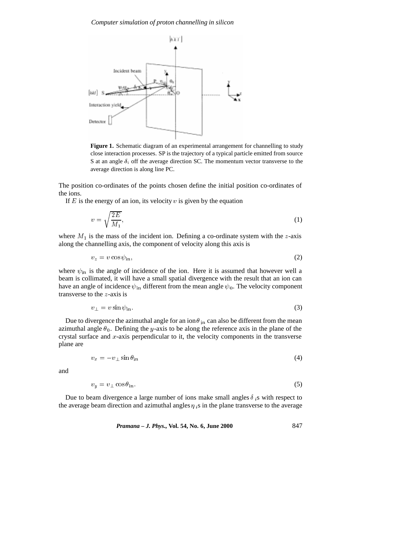*Computer simulation of proton channelling in silicon*



**Figure 1.** Schematic diagram of an experimental arrangement for channelling to study close interaction processes. SP is the trajectory of a typical particle emitted from source S at an angle  $\delta_i$  off the average direction SC. The momentum vector transverse to the average direction is along line PC.

The position co-ordinates of the points chosen define the initial position co-ordinates of the ions.

If  $E$  is the energy of an ion, its velocity  $v$  is given by the equation

$$
v = \sqrt{\frac{2E}{M_1}},\tag{1}
$$

where  $M_1$  is the mass of the incident ion. Defining a co-ordinate system with the z-axis along the channelling axis, the component of velocity along this axis is

$$
v_z = v \cos \psi_{\rm in},\tag{2}
$$

where  $\psi_{\text{in}}$  is the angle of incidence of the ion. Here it is assumed that however well a beam is collimated, it will have a small spatial divergence with the result that an ion can have an angle of incidence  $\psi_{in}$  different from the mean angle  $\psi_0$ . The velocity component transverse to the <sup>z</sup>-axis is

$$
v_{\perp} = v \sin \psi_{\text{in}}.\tag{3}
$$

Due to divergence the azimuthal angle for an ion  $\theta_{\text{in}}$  can also be different from the mean azimuthal angle  $\theta_0$ . Defining the y-axis to be along the reference axis in the plane of the crystal surface and  $x$ -axis perpendicular to it, the velocity components in the transverse plane are

$$
v_x = -v_\perp \sin \theta_{\rm in} \tag{4}
$$

and

$$
v_y = v_\perp \cos \theta_{\rm in}.\tag{5}
$$

Due to beam divergence a large number of ions make small angles  $\delta_i$  s with respect to the average beam direction and azimuthal angles  $\eta_i$ s in the plane transverse to the average

*Pramana – J. Phys.,* **Vol. 54, No. 6, June 2000** 847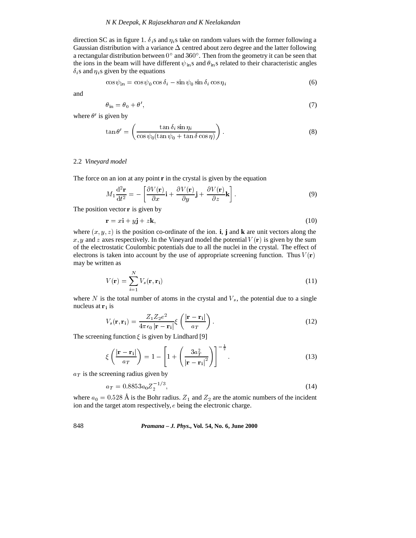direction SC as in figure 1.  $\delta_i$ s and  $\eta_i$ s take on random values with the former following a Gaussian distribution with a variance  $\Delta$  centred about zero degree and the latter following a rectangular distribution between  $0^{\circ}$  and  $360^{\circ}$ . Then from the geometry it can be seen that the ions in the beam will have different  $\psi_{\text{in}}$ s and  $\theta_{\text{in}}$ s related to their characteristic angles  $\delta_i$ s and  $\eta_i$ s given by the equations

$$
\cos\psi_{\rm in} = \cos\psi_0 \cos\delta_i - \sin\psi_0 \sin\delta_i \cos\eta_i \tag{6}
$$

and

$$
\theta_{\rm in} = \theta_0 + \theta',\tag{7}
$$

where  $\theta'$  is given by

$$
\tan \theta' = \left(\frac{\tan \delta_i \sin \eta_i}{\cos \psi_0 (\tan \psi_0 + \tan \delta \cos \eta)}\right). \tag{8}
$$

# 2.2 *Vineyard model*

The force on an ion at any point **r** in the crystal is given by the equation

$$
M_1 \frac{\mathrm{d}^2 \mathbf{r}}{\mathrm{d}t^2} = -\left[\frac{\partial V(\mathbf{r})}{\partial x}\mathbf{i} + \frac{\partial V(\mathbf{r})}{\partial y}\mathbf{j} + \frac{\partial V(\mathbf{r})}{\partial z}\mathbf{k}\right].
$$
 (9)

The position vector  $\bf{r}$  is given by

$$
\mathbf{r} = x\mathbf{i} + y\mathbf{j} + z\mathbf{k},\tag{10}
$$

where  $(x, y, z)$  is the position co-ordinate of the ion. **i**, **j** and **k** are unit vectors along the x, y and z axes respectively. In the Vineyard model the potential  $V(\mathbf{r})$  is given by the sum of the electrostatic Coulombic potentials due to all the nuclei in the crystal. The effect of electrons is taken into account by the use of appropriate screening function. Thus  $V(\mathbf{r})$ may be written as

$$
V(\mathbf{r}) = \sum_{i=1}^{N} V_s(\mathbf{r}, \mathbf{r_i})
$$
\n(11)

where  $N$  is the total number of atoms in the crystal and  $V_s$ , the potential due to a single nucleus at  $r_i$  is

$$
V_s(\mathbf{r}, \mathbf{r_i}) = \frac{Z_1 Z_2 e^2}{4\pi\epsilon_0 |\mathbf{r} - \mathbf{r_i}|} \xi \left(\frac{|\mathbf{r} - \mathbf{r_i}|}{a_T}\right).
$$
 (12)

The screening function  $\xi$  is given by Lindhard [9]

$$
\xi\left(\frac{|\mathbf{r}-\mathbf{r_i}|}{a_T}\right) = 1 - \left[1 + \left(\frac{3a_T^2}{|\mathbf{r}-\mathbf{r_i}|^2}\right)\right]^{-\frac{1}{2}}.\tag{13}
$$

 $a_T$  is the screening radius given by

$$
a_T = 0.8853a_0 Z_2^{-1/3},\tag{14}
$$

where  $a_0 = 0.528$  Å is the Bohr radius.  $Z_1$  and  $Z_2$  are the atomic numbers of the incident ion and the target atom respectively, <sup>e</sup> being the electronic charge.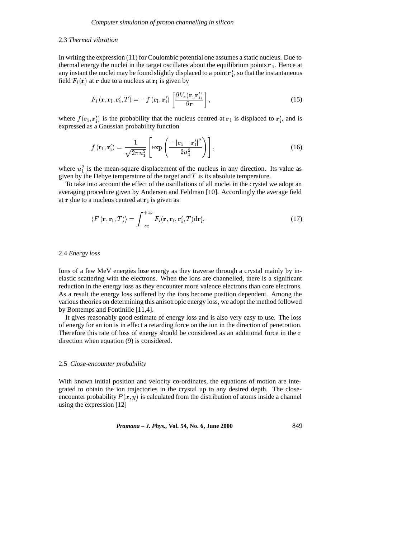#### 2.3 *Thermal vibration*

In writing the expression (11) for Coulombic potential one assumes a static nucleus. Due to thermal energy the nuclei in the target oscillates about the equilibrium points  $\mathbf{r}_i$ . Hence at any instant the nuclei may be found slightly displaced to a point  $\mathbf{r}'_i$ , so that the instantaneous field  $F_i(\mathbf{r})$  at **r** due to a nucleus at  $\mathbf{r}_i$  is given by

$$
F_i\left(\mathbf{r}, \mathbf{r_i}, \mathbf{r'_i}, T\right) = -f\left(\mathbf{r_i}, \mathbf{r'_i}\right) \left[\frac{\partial V_s\left(\mathbf{r}, \mathbf{r'_i}\right)}{\partial \mathbf{r}}\right],\tag{15}
$$

where  $f(\mathbf{r}_i, \mathbf{r}'_i)$  is the probability that the nucleus centred at  $\mathbf{r}_i$  is displaced to  $\mathbf{r}'_i$ , and is expressed as a Gaussian probability function

$$
f\left(\mathbf{r}_{i},\mathbf{r}_{i}^{\prime}\right)=\frac{1}{\sqrt{2\pi u_{1}^{2}}}\left[\exp\left(\frac{-\left|\mathbf{r}_{i}-\mathbf{r}_{i}^{\prime}\right|^{2}}{2u_{1}^{2}}\right)\right],\tag{16}
$$

where  $u_1^2$  is the mean-square displacement of the nucleus in any direction. Its value as given by the Debye temperature of the target and  $T$  is its absolute temperature.

To take into account the effect of the oscillations of all nuclei in the crystal we adopt an averaging procedure given by Andersen and Feldman [10]. Accordingly the average field at r due to a nucleus centred at  $r_i$  is given as

$$
\langle F(\mathbf{r}, \mathbf{r_i}, T) \rangle = \int_{-\infty}^{+\infty} F_i(\mathbf{r}, \mathbf{r_i}, \mathbf{r'_i}, T) \mathrm{d}\mathbf{r'_i}.
$$
 (17)

### 2.4 *Energy loss*

Ions of a few MeV energies lose energy as they traverse through a crystal mainly by inelastic scattering with the electrons. When the ions are channelled, there is a significant reduction in the energy loss as they encounter more valence electrons than core electrons. As a result the energy loss suffered by the ions become position dependent. Among the various theories on determining this anisotropic energy loss, we adopt the method followed by Bontemps and Fontinille [11,4].

It gives reasonably good estimate of energy loss and is also very easy to use. The loss of energy for an ion is in effect a retarding force on the ion in the direction of penetration. Therefore this rate of loss of energy should be considered as an additional force in the  $z$ direction when equation (9) is considered.

#### 2.5 *Close-encounter probability*

With known initial position and velocity co-ordinates, the equations of motion are integrated to obtain the ion trajectories in the crystal up to any desired depth. The closeencounter probability  $P(x, y)$  is calculated from the distribution of atoms inside a channel using the expression [12]

*Pramana – J. Phys.,* **Vol. 54, No. 6, June 2000** 849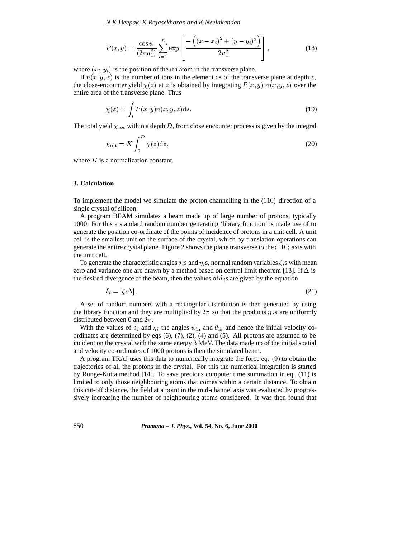*N K Deepak, K Rajasekharan and K Neelakandan*

$$
P(x,y) = \frac{\cos\psi}{(2\pi u_1^2)} \sum_{i=1}^n \exp\left[\frac{-\left((x-x_i)^2 + (y-y_i)^2\right)}{2u_1^2}\right],\tag{18}
$$

where  $(x_i, y_i)$  is the position of the *i*th atom in the transverse plane.

If  $n(x, y, z)$  is the number of ions in the element ds of the transverse plane at depth z, the close-encounter yield  $\chi(z)$  at z is obtained by integrating  $P(x, y)$   $n(x, y, z)$  over the entire area of the transverse plane. Thus

$$
\chi(z) = \int_{s} P(x, y)n(x, y, z)ds.
$$
 (19)

The total yield  $\chi_{\text{tot}}$  within a depth D, from close encounter process is given by the integral

$$
\chi_{\text{tot}} = K \int_0^D \chi(z) \mathrm{d}z,\tag{20}
$$

where  $K$  is a normalization constant.

### **3. Calculation**

To implement the model we simulate the proton channelling in the  $\langle 110 \rangle$  direction of a single crystal of silicon.

A program BEAM simulates a beam made up of large number of protons, typically 1000. For this a standard random number generating 'library function' is made use of to generate the position co-ordinate of the points of incidence of protons in a unit cell. A unit cell is the smallest unit on the surface of the crystal, which by translation operations can generate the entire crystal plane. Figure 2 shows the plane transverse to the  $\langle 110 \rangle$  axis with the unit cell.

To generate the characteristic angles  $\delta_i$  s and  $\eta_i$  s, normal random variables  $\zeta_i$  s with mean zero and variance one are drawn by a method based on central limit theorem [13]. If  $\Delta$  is the desired divergence of the beam, then the values of  $\delta_i$ s are given by the equation

$$
\delta_i = |\zeta_i \Delta| \tag{21}
$$

A set of random numbers with a rectangular distribution is then generated by using the library function and they are multiplied by  $2\pi$  so that the products  $\eta_i$  s are uniformly distributed between 0 and  $2\pi$ .

With the values of  $\delta_i$  and  $\eta_i$  the angles  $\psi_{\text{in}}$  and  $\theta_{\text{in}}$  and hence the initial velocity coordinates are determined by eqs  $(6)$ ,  $(7)$ ,  $(2)$ ,  $(4)$  and  $(5)$ . All protons are assumed to be incident on the crystal with the same energy 3 MeV. The data made up of the initial spatial and velocity co-ordinates of 1000 protons is then the simulated beam.

A program TRAJ uses this data to numerically integrate the force eq. (9) to obtain the trajectories of all the protons in the crystal. For this the numerical integration is started by Runge-Kutta method [14]. To save precious computer time summation in eq. (11) is limited to only those neighbouring atoms that comes within a certain distance. To obtain this cut-off distance, the field at a point in the mid-channel axis was evaluated by progressively increasing the number of neighbouring atoms considered. It was then found that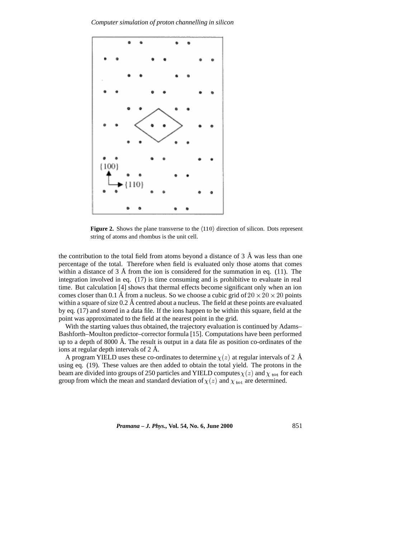*Computer simulation of proton channelling in silicon*



**Figure 2.** Shows the plane transverse to the  $\langle 110 \rangle$  direction of silicon. Dots represent string of atoms and rhombus is the unit cell.

the contribution to the total field from atoms beyond a distance of 3  $\AA$  was less than one percentage of the total. Therefore when field is evaluated only those atoms that comes within a distance of 3  $\AA$  from the ion is considered for the summation in eq. (11). The integration involved in eq. (17) is time consuming and is prohibitive to evaluate in real time. But calculation [4] shows that thermal effects become significant only when an ion comes closer than 0.1 Å from a nucleus. So we choose a cubic grid of  $20 \times 20 \times 20$  points within a square of size  $0.2 \text{ Å}$  centred about a nucleus. The field at these points are evaluated by eq. (17) and stored in a data file. If the ions happen to be within this square, field at the point was approximated to the field at the nearest point in the grid.

With the starting values thus obtained, the trajectory evaluation is continued by Adams– Bashforth–Moulton predictor–corrector formula [15]. Computations have been performed up to a depth of 8000  $\AA$ . The result is output in a data file as position co-ordinates of the ions at regular depth intervals of  $2 \text{ Å}$ .

A program YIELD uses these co-ordinates to determine  $\chi(z)$  at regular intervals of 2 Å using eq. (19). These values are then added to obtain the total yield. The protons in the beam are divided into groups of 250 particles and YIELD computes  $\chi(z)$  and  $\chi_{\text{tot}}$  for each group from which the mean and standard deviation of  $\chi(z)$  and  $\chi_{\text{tot}}$  are determined.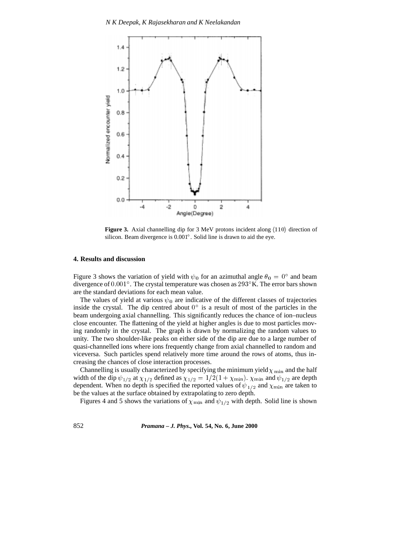

**Figure 3.** Axial channelling dip for 3 MeV protons incident along  $\langle 110 \rangle$  direction of silicon. Beam divergence is 0.001 . Solid line is drawn to aid the eye.

#### **4. Results and discussion**

Figure 3 shows the variation of yield with  $\psi_0$  for an azimuthal angle  $\theta_0 = 0^\circ$  and beam divergence of  $0.001^{\circ}$ . The crystal temperature was chosen as  $293^{\circ}$ K. The error bars shown are the standard deviations for each mean value.

The values of yield at various  $\psi_0$  are indicative of the different classes of trajectories inside the crystal. The dip centred about  $0^{\circ}$  is a result of most of the particles in the beam undergoing axial channelling. This significantly reduces the chance of ion–nucleus close encounter. The flattening of the yield at higher angles is due to most particles moving randomly in the crystal. The graph is drawn by normalizing the random values to unity. The two shoulder-like peaks on either side of the dip are due to a large number of quasi-channelled ions where ions frequently change from axial channelled to random and viceversa. Such particles spend relatively more time around the rows of atoms, thus increasing the chances of close interaction processes.

Channelling is usually characterized by specifying the minimum yield  $\chi$ <sub>min</sub> and the half width of the dip  $\psi_{1/2}$  at  $\chi_{1/2}$  defined as  $\chi_{1/2} = 1/2(1 + \chi_{\min})$ .  $\chi_{\min}$  and  $\psi_{1/2}$  are depth dependent. When no depth is specified the reported values of  $\psi_{1/2}$  and  $\chi_{\text{min}}$  are taken to be the values at the surface obtained by extrapolating to zero depth.

Figures 4 and 5 shows the variations of  $\chi_{\text{min}}$  and  $\psi_{1/2}$  with depth. Solid line is shown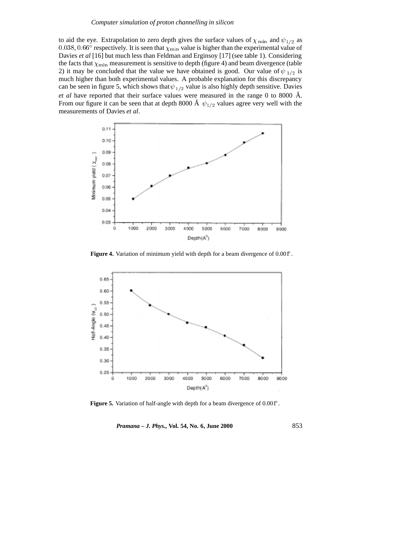to aid the eye. Extrapolation to zero depth gives the surface values of  $\chi$ <sub>min</sub> and  $\psi_{1/2}$  as 0.038, 0.66° respectively. It is seen that  $\chi_{\text{min}}$  value is higher than the experimental value of Davies *et al* [16] but much less than Feldman and Erginsoy [17] (see table 1). Considering the facts that  $\chi_{\text{min}}$  measurement is sensitive to depth (figure 4) and beam divergence (table 2) it may be concluded that the value we have obtained is good. Our value of  $\psi_{1/2}$  is much higher than both experimental values. A probable explanation for this discrepancy can be seen in figure 5, which shows that  $\psi_{1/2}$  value is also highly depth sensitive. Davies *et al* have reported that their surface values were measured in the range 0 to 8000 Å. From our figure it can be seen that at depth 8000 Å  $\psi_{1/2}$  values agree very well with the measurements of Davies *et al*.



**Figure 4.** Variation of minimum yield with depth for a beam divergence of 0.001°.



**Figure 5.** Variation of half-angle with depth for a beam divergence of 0.001<sup>°</sup>.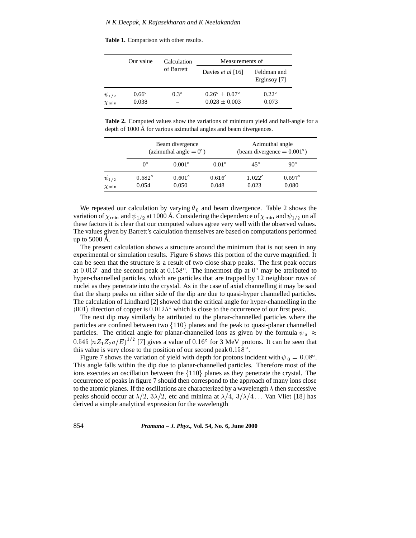**Table 1.** Comparison with other results.

|                                  | Our value             | Calculation<br>of Barrett | Measurements of                                      |                             |  |
|----------------------------------|-----------------------|---------------------------|------------------------------------------------------|-----------------------------|--|
|                                  |                       |                           | Davies et al [16]                                    | Feldman and<br>Erginsoy [7] |  |
| $\psi_{1/2}$<br>$\chi_{\rm min}$ | $0.66^\circ$<br>0.038 | $0.3^\circ$               | $0.26^{\circ} \pm 0.07^{\circ}$<br>$0.028 \pm 0.003$ | $0.22^\circ$<br>0.073       |  |

**Table 2.** Computed values show the variations of minimum yield and half-angle for a depth of 1000 Å for various azimuthal angles and beam divergences.

|              | Beam divergence<br>(azimuthal angle $= 0^{\circ}$ ) |                 |                 | Azimuthal angle<br>(beam divergence $= 0.001^{\circ}$ ) |               |  |
|--------------|-----------------------------------------------------|-----------------|-----------------|---------------------------------------------------------|---------------|--|
|              | $0^{\circ}$                                         | $0.001^{\circ}$ | $0.01^\circ$    | $45^{\circ}$                                            | $90^{\circ}$  |  |
| $\psi_{1/2}$ | $0.582^\circ$                                       | $0.601^\circ$   | $0.616^{\circ}$ | $1.022^{\circ}$                                         | $0.597^\circ$ |  |
| $\chi$ min   | 0.054                                               | 0.050           | 0.048           | 0.023                                                   | 0.080         |  |

We repeated our calculation by varying  $\theta_0$  and beam divergence. Table 2 shows the variation of  $\chi_{\text{min}}$  and  $\psi_{1/2}$  at 1000 Å. Considering the dependence of  $\chi_{\text{min}}$  and  $\psi_{1/2}$  on all these factors it is clear that our computed values agree very well with the observed values. The values given by Barrett's calculation themselves are based on computations performed up to  $5000 \text{ Å}$ .

The present calculation shows a structure around the minimum that is not seen in any experimental or simulation results. Figure 6 shows this portion of the curve magnified. It can be seen that the structure is a result of two close sharp peaks. The first peak occurs at  $0.013^{\circ}$  and the second peak at  $0.158^{\circ}$ . The innermost dip at  $0^{\circ}$  may be attributed to hyper-channelled particles, which are particles that are trapped by 12 neighbour rows of nuclei as they penetrate into the crystal. As in the case of axial channelling it may be said that the sharp peaks on either side of the dip are due to quasi-hyper channelled particles. The calculation of Lindhard [2] showed that the critical angle for hyper-channelling in the  $\langle 001 \rangle$  direction of copper is  $0.0125^{\circ}$  which is close to the occurrence of our first peak.

The next dip may similarly be attributed to the planar-channelled particles where the particles are confined between two  ${110}$  planes and the peak to quasi-planar channelled particles. The critical angle for planar-channelled ions as given by the formula  $\psi_a \approx$  $0.545 (nZ_1Z_2a/E)^{1/2}$  [7] gives a value of  $0.16^{\circ}$  for 3 MeV protons. It can be seen that this value is very close to the position of our second peak  $0.158^{\circ}$ .

Figure 7 shows the variation of yield with depth for protons incident with  $\psi_0 = 0.08^{\circ}$ . This angle falls within the dip due to planar-channelled particles. Therefore most of the ions executes an oscillation between the  $\{110\}$  planes as they penetrate the crystal. The occurrence of peaks in figure 7 should then correspond to the approach of many ions close to the atomic planes. If the oscillations are characterized by a wavelength  $\lambda$  then successive peaks should occur at  $\lambda/2$ ,  $3\lambda/2$ , etc and minima at  $\lambda/4$ ,  $3/\lambda/4$ ... Van Vliet [18] has derived a simple analytical expression for the wavelength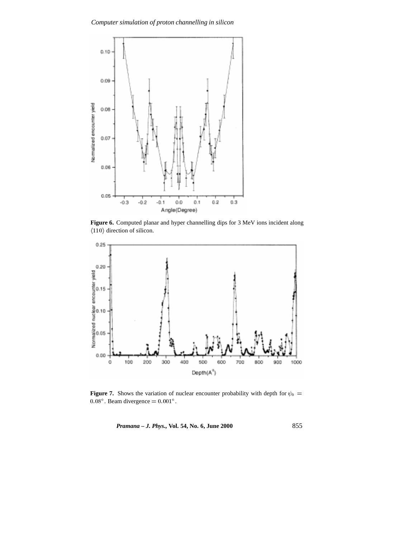

**Figure 6.** Computed planar and hyper channelling dips for 3 MeV ions incident along  $\langle 110 \rangle$  direction of silicon.



**Figure 7.** Shows the variation of nuclear encounter probability with depth for  $\psi_0$  =  $0.08^{\circ}$ . Beam divergence  $= 0.001^{\circ}$ .